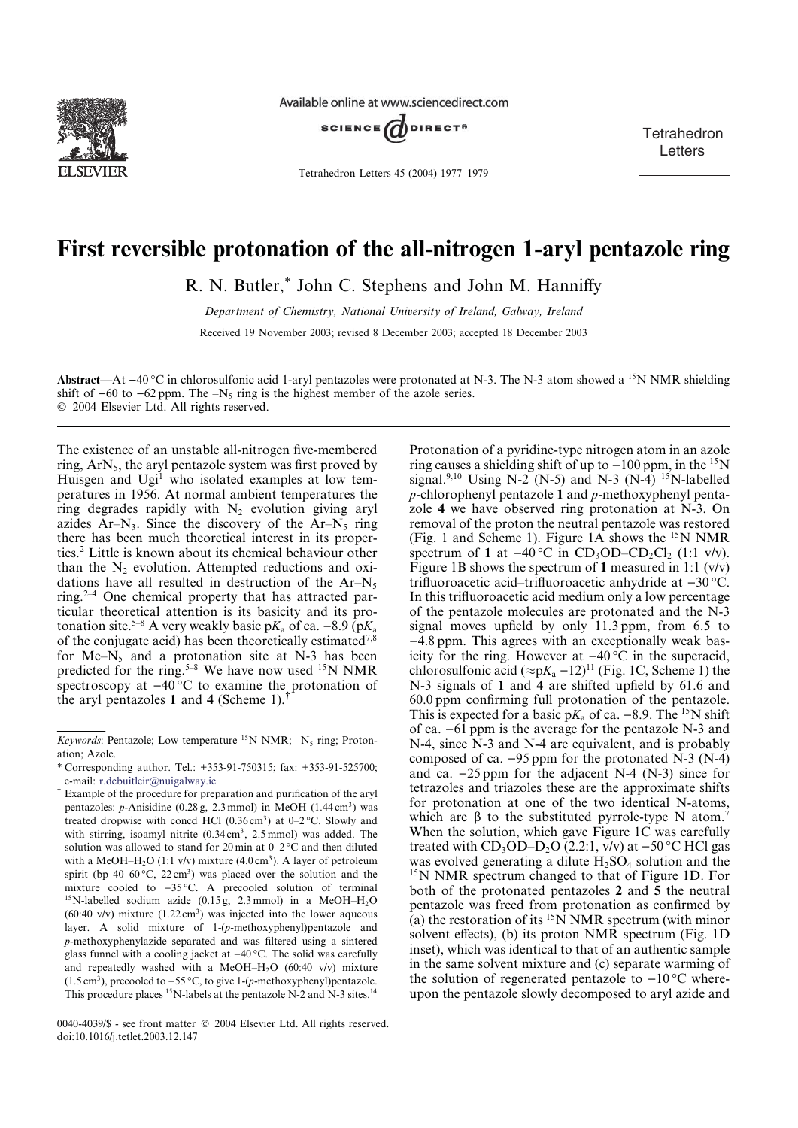

Available online at www.sciencedirect.com



Tetrahedron Letters 45 (2004) 1977–1979

**Tetrahedron Letters** 

## First reversible protonation of the all-nitrogen 1-aryl pentazole ring

R. N. Butler,\* John C. Stephens and John M. Hanniffy

Department of Chemistry, National University of Ireland, Galway, Ireland Received 19 November 2003; revised 8 December 2003; accepted 18 December 2003

Abstract—At  $-40^{\circ}$ C in chlorosulfonic acid 1-aryl pentazoles were protonated at N-3. The N-3 atom showed a <sup>15</sup>N NMR shielding shift of  $-60$  to  $-62$  ppm. The  $-N<sub>5</sub>$  ring is the highest member of the azole series.

2004 Elsevier Ltd. All rights reserved.

The existence of an unstable all-nitrogen five-membered ring,  $ArN<sub>5</sub>$ , the aryl pentazole system was first proved by Huisgen and Ugi<sup>1</sup> who isolated examples at low temperatures in 1956. At normal ambient temperatures the ring degrades rapidly with  $N_2$  evolution giving aryl azides  $Ar-N_3$ . Since the discovery of the  $Ar-N_5$  ring there has been much theoretical interest in its properties.2 Little is known about its chemical behaviour other than the  $N<sub>2</sub>$  evolution. Attempted reductions and oxidations have all resulted in destruction of the  $Ar-N<sub>5</sub>$ ring.2–<sup>4</sup> One chemical property that has attracted particular theoretical attention is its basicity and its protonation site.<sup>5–8</sup> A very weakly basic p $K_a$  of ca. –8.9 (p $K_a$ ) of the conjugate acid) has been theoretically estimated<sup>7,8</sup> for  $Me-N_5$  and a protonation site at N-3 has been predicted for the ring.<sup>5–8</sup> We have now used <sup>15</sup>N NMR spectroscopy at  $-40^{\circ}$ C to examine the protonation of the aryl pentazoles 1 and 4 (Scheme 1).<sup>†</sup>

0040-4039/\$ - see front matter  $\degree$  2004 Elsevier Ltd. All rights reserved. doi:10.1016/j.tetlet.2003.12.147

Protonation of a pyridine-type nitrogen atom in an azole ring causes a shielding shift of up to  $-100$  ppm, in the <sup>15</sup>N signal.<sup>9,10</sup> Using N-2 (N-5) and N-3 (N-4) <sup>15</sup>N-labelled  $p$ -chlorophenyl pentazole 1 and  $p$ -methoxyphenyl pentazole 4 we have observed ring protonation at N-3. On removal of the proton the neutral pentazole was restored (Fig. 1 and Scheme 1). Figure  $1\overline{A}$  shows the <sup>15</sup>N NMR spectrum of 1 at  $-40^{\circ}\text{C}$  in CD<sub>3</sub>OD–CD<sub>2</sub>Cl<sub>2</sub> (1:1 v/v). Figure 1B shows the spectrum of 1 measured in 1:1  $(v/v)$ trifluoroacetic acid–trifluoroacetic anhydride at  $-30$  °C. In this trifluoroacetic acid medium only a low percentage of the pentazole molecules are protonated and the N-3 signal moves upfield by only 11.3 ppm, from 6.5 to -4.8 ppm. This agrees with an exceptionally weak basicity for the ring. However at  $-40\degree C$  in the superacid, chlorosulfonic acid  $(\approx pK_a - 12)^{11}$  (Fig. 1C, Scheme 1) the N-3 signals of 1 and 4 are shifted upfield by 61.6 and 60.0 ppm confirming full protonation of the pentazole. This is expected for a basic  $pK_a$  of ca. -8.9. The <sup>15</sup>N shift of ca.  $-6\overline{1}$  ppm is the average for the pentazole N-3 and N-4, since N-3 and N-4 are equivalent, and is probably composed of ca.  $-95$  ppm for the protonated N-3 (N-4) and ca.  $-25$  ppm for the adjacent N-4 (N-3) since for tetrazoles and triazoles these are the approximate shifts for protonation at one of the two identical N-atoms, which are  $\beta$  to the substituted pyrrole-type N atom.<sup>7</sup> When the solution, which gave Figure 1C was carefully treated with  $CD_3OD-D_2O$  (2.2:1, v/v) at  $-50$  °C HCl gas was evolved generating a dilute  $H_2SO_4$  solution and the <sup>15</sup>N NMR spectrum changed to that of Figure 1D. For both of the protonated pentazoles 2 and 5 the neutral pentazole was freed from protonation as confirmed by (a) the restoration of its  $15\overline{N}$  NMR spectrum (with minor solvent effects), (b) its proton NMR spectrum (Fig. 1D inset), which was identical to that of an authentic sample in the same solvent mixture and (c) separate warming of the solution of regenerated pentazole to  $-10\degree C$  whereupon the pentazole slowly decomposed to aryl azide and

Keywords: Pentazole; Low temperature  $^{15}N$  NMR;  $-N_5$  ring; Protonation; Azole.

<sup>\*</sup> Corresponding author. Tel.: +353-91-750315; fax: +353-91-525700; e-mail: r.debuitleir@nuigalway.ie

<sup>-</sup> Example of the procedure for preparation and purification of the aryl pentazoles:  $p$ -Anisidine (0.28 g, 2.3 mmol) in MeOH (1.44 cm<sup>3</sup>) was treated dropwise with concd HCl  $(0.36 \text{ cm}^3)$  at 0–2 °C. Slowly and with stirring, isoamyl nitrite (0.34 cm<sup>3</sup>, 2.5 mmol) was added. The solution was allowed to stand for 20 min at  $0-2$  °C and then diluted with a MeOH–H<sub>2</sub>O (1:1 v/v) mixture (4.0 cm<sup>3</sup>). A layer of petroleum spirit (bp  $40-60$  °C,  $22 \text{ cm}^3$ ) was placed over the solution and the mixture cooled to  $-35$  °C. A precooled solution of terminal <sup>15</sup>N-labelled sodium azide (0.15 g, 2.3 mmol) in a MeOH–H<sub>2</sub>O (60:40 v/v) mixture  $(1.22 \text{ cm}^3)$  was injected into the lower aqueous layer. A solid mixture of 1-(p-methoxyphenyl)pentazole and p-methoxyphenylazide separated and was filtered using a sintered glass funnel with a cooling jacket at  $-40^{\circ}$ C. The solid was carefully and repeatedly washed with a MeOH-H<sub>2</sub>O (60:40 v/v) mixture  $(1.5 \text{ cm}^3)$ , precooled to  $-55 \text{ °C}$ , to give 1-(p-methoxyphenyl)pentazole. This procedure places <sup>15</sup>N-labels at the pentazole N-2 and N-3 sites.<sup>14</sup>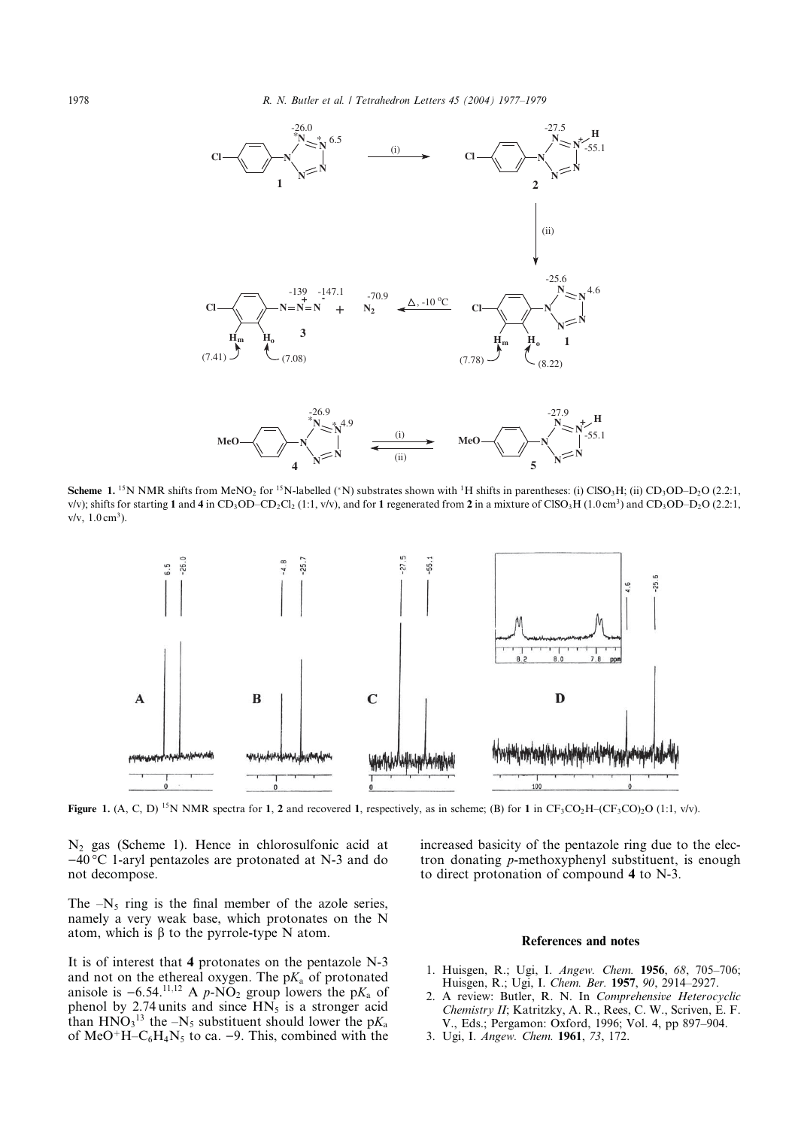

Scheme 1. <sup>15</sup>N NMR shifts from MeNO<sub>2</sub> for <sup>15</sup>N-labelled (\*N) substrates shown with <sup>1</sup>H shifts in parentheses: (i) ClSO<sub>3</sub>H; (ii) CD<sub>3</sub>OD–D<sub>2</sub>O (2.2:1, v/v); shifts for starting 1 and 4 in CD<sub>3</sub>OD–CD<sub>2</sub>Cl<sub>2</sub> (1:1, v/v), and for 1 regenerated from 2 in a mixture of ClSO<sub>3</sub>H (1.0 cm<sup>3</sup>) and CD<sub>3</sub>OD–D<sub>2</sub>O (2.2:1,  $v/v$ ,  $1.0 \text{ cm}^3$ ).



Figure 1. (A, C, D) <sup>15</sup>N NMR spectra for 1, 2 and recovered 1, respectively, as in scheme; (B) for 1 in  $CF_3CO_2H$ –( $CF_3CO_2O$  (1:1, v/v).

N<sub>2</sub> gas (Scheme 1). Hence in chlorosulfonic acid at  $-40$  °C 1-aryl pentazoles are protonated at N-3 and do not decompose.

The  $-N_5$  ring is the final member of the azole series, namely a very weak base, which protonates on the N atom, which is  $\beta$  to the pyrrole-type N atom.

It is of interest that 4 protonates on the pentazole N-3 and not on the ethereal oxygen. The  $pK_a$  of protonated anisole is  $-6.54$ .<sup>11,12</sup> A p-NO<sub>2</sub> group lowers the pK<sub>a</sub> of phenol by 2.74 units and since  $HN<sub>5</sub>$  is a stronger acid than  $HNO<sub>3</sub><sup>13</sup>$  the  $-N<sub>5</sub>$  substituent should lower the p $K<sub>a</sub>$ of MeO<sup>+</sup>H–C<sub>6</sub>H<sub>4</sub>N<sub>5</sub> to ca. –9. This, combined with the increased basicity of the pentazole ring due to the electron donating p-methoxyphenyl substituent, is enough to direct protonation of compound 4 to N-3.

## References and notes

- 1. Huisgen, R.; Ugi, I. Angew. Chem. 1956, 68, 705–706; Huisgen, R.; Ugi, I. Chem. Ber. 1957, 90, 2914–2927.
- 2. A review: Butler, R. N. In Comprehensive Heterocyclic Chemistry II; Katritzky, A. R., Rees, C. W., Scriven, E. F. V., Eds.; Pergamon: Oxford, 1996; Vol. 4, pp 897–904.
- 3. Ugi, I. Angew. Chem. 1961, 73, 172.